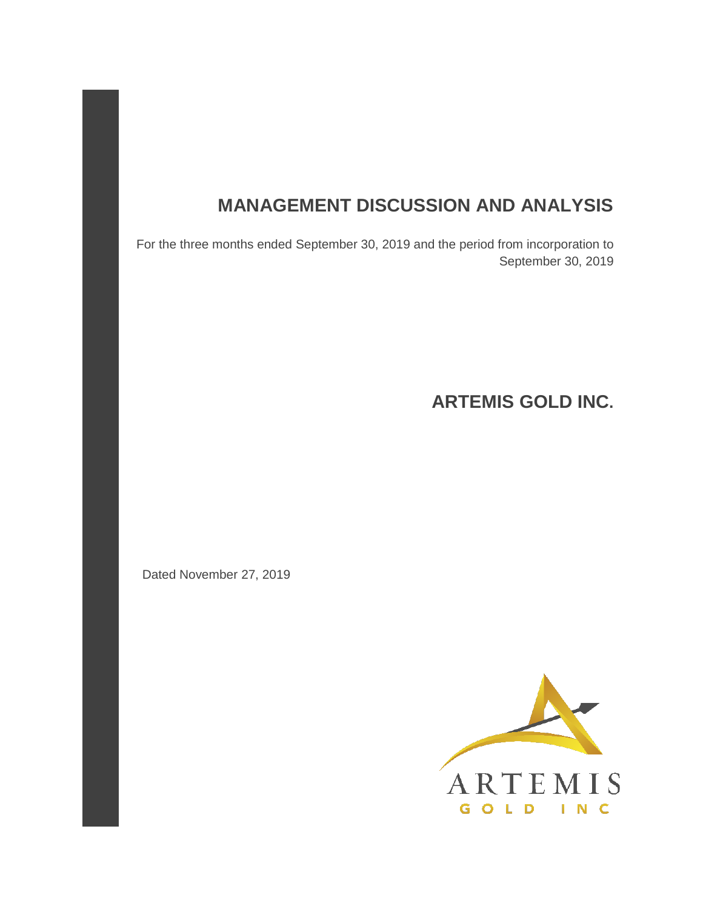# **MANAGEMENT DISCUSSION AND ANALYSIS**

For the three months ended September 30, 2019 and the period from incorporation to September 30, 2019

**ARTEMIS GOLD INC.** 

Dated November 27, 2019

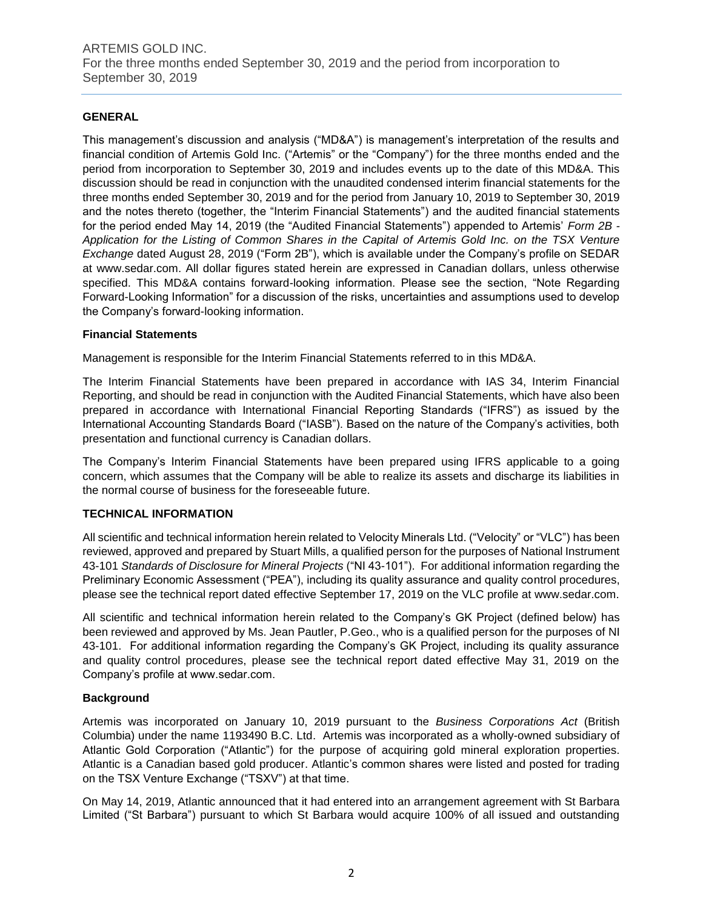# **GENERAL**

This management's discussion and analysis ("MD&A") is management's interpretation of the results and financial condition of Artemis Gold Inc. ("Artemis" or the "Company") for the three months ended and the period from incorporation to September 30, 2019 and includes events up to the date of this MD&A. This discussion should be read in conjunction with the unaudited condensed interim financial statements for the three months ended September 30, 2019 and for the period from January 10, 2019 to September 30, 2019 and the notes thereto (together, the "Interim Financial Statements") and the audited financial statements for the period ended May 14, 2019 (the "Audited Financial Statements") appended to Artemis' *Form 2B - Application for the Listing of Common Shares in the Capital of Artemis Gold Inc. on the TSX Venture Exchange* dated August 28, 2019 ("Form 2B"), which is available under the Company's profile on SEDAR at www.sedar.com. All dollar figures stated herein are expressed in Canadian dollars, unless otherwise specified. This MD&A contains forward-looking information. Please see the section, "Note Regarding Forward-Looking Information" for a discussion of the risks, uncertainties and assumptions used to develop the Company's forward-looking information.

# **Financial Statements**

Management is responsible for the Interim Financial Statements referred to in this MD&A.

The Interim Financial Statements have been prepared in accordance with IAS 34, Interim Financial Reporting, and should be read in conjunction with the Audited Financial Statements, which have also been prepared in accordance with International Financial Reporting Standards ("IFRS") as issued by the International Accounting Standards Board ("IASB"). Based on the nature of the Company's activities, both presentation and functional currency is Canadian dollars.

The Company's Interim Financial Statements have been prepared using IFRS applicable to a going concern, which assumes that the Company will be able to realize its assets and discharge its liabilities in the normal course of business for the foreseeable future.

# **TECHNICAL INFORMATION**

All scientific and technical information herein related to Velocity Minerals Ltd. ("Velocity" or "VLC") has been reviewed, approved and prepared by Stuart Mills, a qualified person for the purposes of National Instrument 43-101 *Standards of Disclosure for Mineral Projects* ("NI 43-101"). For additional information regarding the Preliminary Economic Assessment ("PEA"), including its quality assurance and quality control procedures, please see the technical report dated effective September 17, 2019 on the VLC profile at www.sedar.com.

All scientific and technical information herein related to the Company's GK Project (defined below) has been reviewed and approved by Ms. Jean Pautler, P.Geo., who is a qualified person for the purposes of NI 43-101. For additional information regarding the Company's GK Project, including its quality assurance and quality control procedures, please see the technical report dated effective May 31, 2019 on the Company's profile at www.sedar.com.

#### **Background**

Artemis was incorporated on January 10, 2019 pursuant to the *Business Corporations Act* (British Columbia) under the name 1193490 B.C. Ltd. Artemis was incorporated as a wholly-owned subsidiary of Atlantic Gold Corporation ("Atlantic") for the purpose of acquiring gold mineral exploration properties. Atlantic is a Canadian based gold producer. Atlantic's common shares were listed and posted for trading on the TSX Venture Exchange ("TSXV") at that time.

On May 14, 2019, Atlantic announced that it had entered into an arrangement agreement with St Barbara Limited ("St Barbara") pursuant to which St Barbara would acquire 100% of all issued and outstanding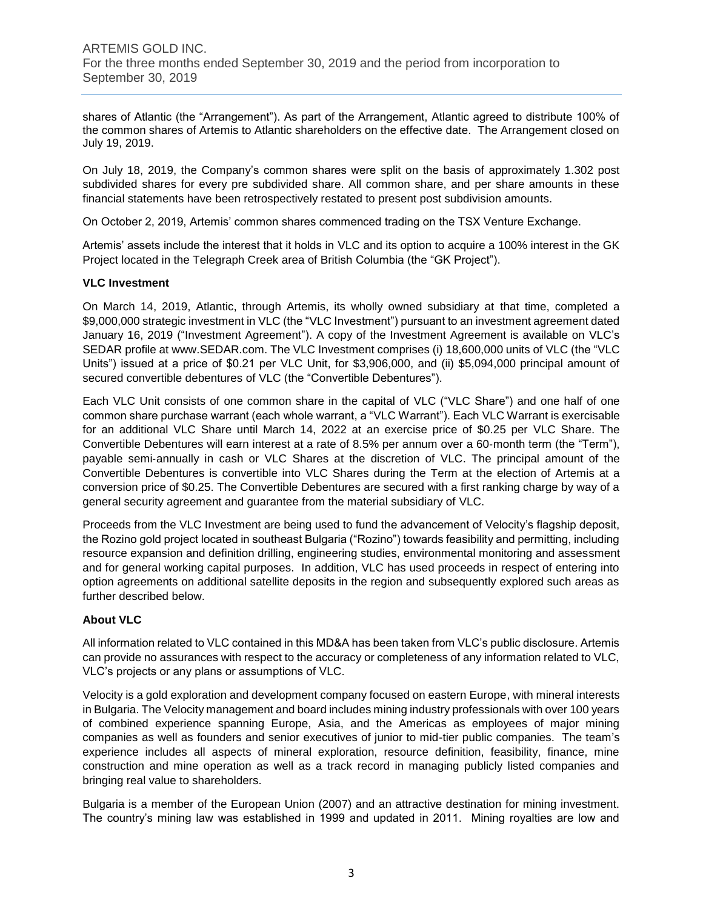shares of Atlantic (the "Arrangement"). As part of the Arrangement, Atlantic agreed to distribute 100% of the common shares of Artemis to Atlantic shareholders on the effective date. The Arrangement closed on July 19, 2019.

On July 18, 2019, the Company's common shares were split on the basis of approximately 1.302 post subdivided shares for every pre subdivided share. All common share, and per share amounts in these financial statements have been retrospectively restated to present post subdivision amounts.

On October 2, 2019, Artemis' common shares commenced trading on the TSX Venture Exchange.

Artemis' assets include the interest that it holds in VLC and its option to acquire a 100% interest in the GK Project located in the Telegraph Creek area of British Columbia (the "GK Project").

# **VLC Investment**

On March 14, 2019, Atlantic, through Artemis, its wholly owned subsidiary at that time, completed a \$9,000,000 strategic investment in VLC (the "VLC Investment") pursuant to an investment agreement dated January 16, 2019 ("Investment Agreement"). A copy of the Investment Agreement is available on VLC's SEDAR profile at www.SEDAR.com. The VLC Investment comprises (i) 18,600,000 units of VLC (the "VLC Units") issued at a price of \$0.21 per VLC Unit, for \$3,906,000, and (ii) \$5,094,000 principal amount of secured convertible debentures of VLC (the "Convertible Debentures").

Each VLC Unit consists of one common share in the capital of VLC ("VLC Share") and one half of one common share purchase warrant (each whole warrant, a "VLC Warrant"). Each VLC Warrant is exercisable for an additional VLC Share until March 14, 2022 at an exercise price of \$0.25 per VLC Share. The Convertible Debentures will earn interest at a rate of 8.5% per annum over a 60‐month term (the "Term"), payable semi-annually in cash or VLC Shares at the discretion of VLC. The principal amount of the Convertible Debentures is convertible into VLC Shares during the Term at the election of Artemis at a conversion price of \$0.25. The Convertible Debentures are secured with a first ranking charge by way of a general security agreement and guarantee from the material subsidiary of VLC.

Proceeds from the VLC Investment are being used to fund the advancement of Velocity's flagship deposit, the Rozino gold project located in southeast Bulgaria ("Rozino") towards feasibility and permitting, including resource expansion and definition drilling, engineering studies, environmental monitoring and assessment and for general working capital purposes. In addition, VLC has used proceeds in respect of entering into option agreements on additional satellite deposits in the region and subsequently explored such areas as further described below.

# **About VLC**

All information related to VLC contained in this MD&A has been taken from VLC's public disclosure. Artemis can provide no assurances with respect to the accuracy or completeness of any information related to VLC, VLC's projects or any plans or assumptions of VLC.

Velocity is a gold exploration and development company focused on eastern Europe, with mineral interests in Bulgaria. The Velocity management and board includes mining industry professionals with over 100 years of combined experience spanning Europe, Asia, and the Americas as employees of major mining companies as well as founders and senior executives of junior to mid-tier public companies. The team's experience includes all aspects of mineral exploration, resource definition, feasibility, finance, mine construction and mine operation as well as a track record in managing publicly listed companies and bringing real value to shareholders.

Bulgaria is a member of the European Union (2007) and an attractive destination for mining investment. The country's mining law was established in 1999 and updated in 2011. Mining royalties are low and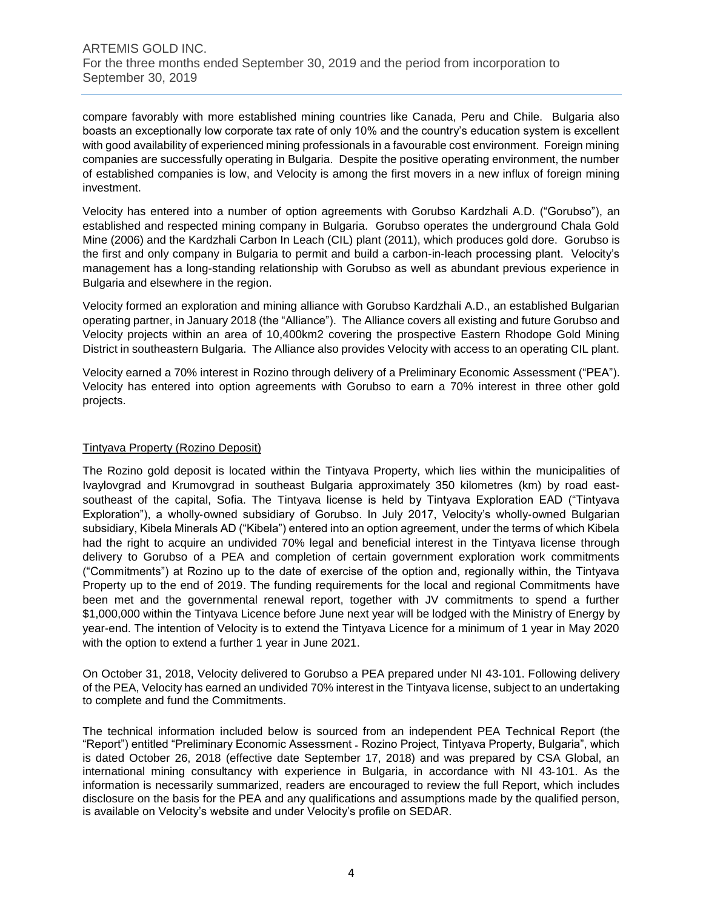compare favorably with more established mining countries like Canada, Peru and Chile. Bulgaria also boasts an exceptionally low corporate tax rate of only 10% and the country's education system is excellent with good availability of experienced mining professionals in a favourable cost environment. Foreign mining companies are successfully operating in Bulgaria. Despite the positive operating environment, the number of established companies is low, and Velocity is among the first movers in a new influx of foreign mining investment.

Velocity has entered into a number of option agreements with Gorubso Kardzhali A.D. ("Gorubso"), an established and respected mining company in Bulgaria. Gorubso operates the underground Chala Gold Mine (2006) and the Kardzhali Carbon In Leach (CIL) plant (2011), which produces gold dore. Gorubso is the first and only company in Bulgaria to permit and build a carbon-in-leach processing plant. Velocity's management has a long-standing relationship with Gorubso as well as abundant previous experience in Bulgaria and elsewhere in the region.

Velocity formed an exploration and mining alliance with Gorubso Kardzhali A.D., an established Bulgarian operating partner, in January 2018 (the "Alliance"). The Alliance covers all existing and future Gorubso and Velocity projects within an area of 10,400km2 covering the prospective Eastern Rhodope Gold Mining District in southeastern Bulgaria. The Alliance also provides Velocity with access to an operating CIL plant.

Velocity earned a 70% interest in Rozino through delivery of a Preliminary Economic Assessment ("PEA"). Velocity has entered into option agreements with Gorubso to earn a 70% interest in three other gold projects.

# Tintyava Property (Rozino Deposit)

The Rozino gold deposit is located within the Tintyava Property, which lies within the municipalities of Ivaylovgrad and Krumovgrad in southeast Bulgaria approximately 350 kilometres (km) by road east‐ southeast of the capital, Sofia. The Tintyava license is held by Tintyava Exploration EAD ("Tintyava Exploration"), a wholly-owned subsidiary of Gorubso. In July 2017, Velocity's wholly-owned Bulgarian subsidiary, Kibela Minerals AD ("Kibela") entered into an option agreement, under the terms of which Kibela had the right to acquire an undivided 70% legal and beneficial interest in the Tintyava license through delivery to Gorubso of a PEA and completion of certain government exploration work commitments ("Commitments") at Rozino up to the date of exercise of the option and, regionally within, the Tintyava Property up to the end of 2019. The funding requirements for the local and regional Commitments have been met and the governmental renewal report, together with JV commitments to spend a further \$1,000,000 within the Tintyava Licence before June next year will be lodged with the Ministry of Energy by year-end. The intention of Velocity is to extend the Tintyava Licence for a minimum of 1 year in May 2020 with the option to extend a further 1 year in June 2021.

On October 31, 2018, Velocity delivered to Gorubso a PEA prepared under NI 43‐101. Following delivery of the PEA, Velocity has earned an undivided 70% interest in the Tintyava license, subject to an undertaking to complete and fund the Commitments.

The technical information included below is sourced from an independent PEA Technical Report (the "Report") entitled "Preliminary Economic Assessment ‐ Rozino Project, Tintyava Property, Bulgaria", which is dated October 26, 2018 (effective date September 17, 2018) and was prepared by CSA Global, an international mining consultancy with experience in Bulgaria, in accordance with NI 43‐101. As the information is necessarily summarized, readers are encouraged to review the full Report, which includes disclosure on the basis for the PEA and any qualifications and assumptions made by the qualified person, is available on Velocity's website and under Velocity's profile on SEDAR.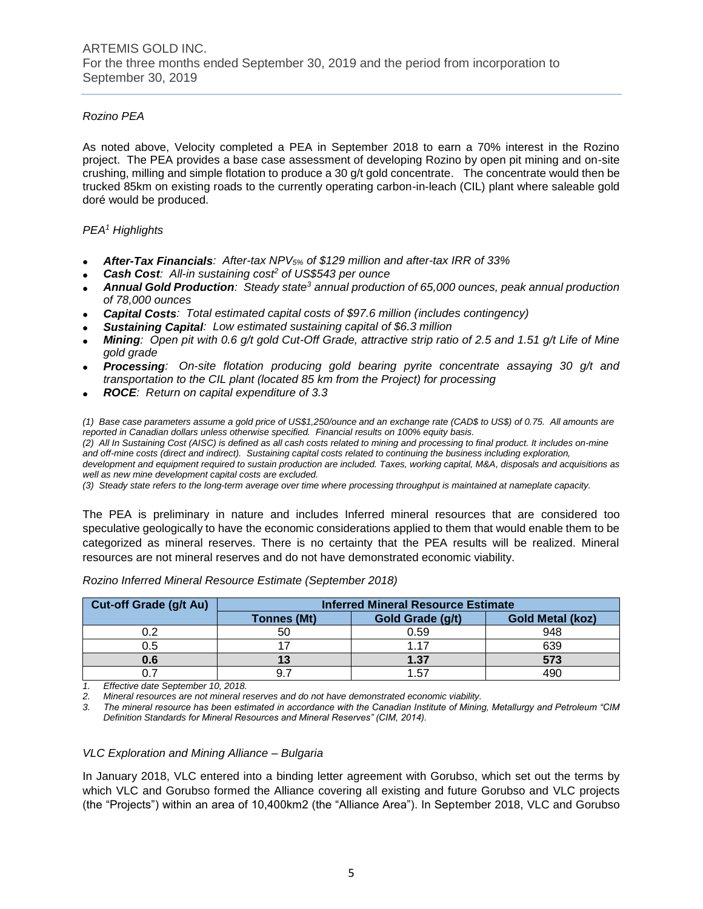# *Rozino PEA*

As noted above, Velocity completed a PEA in September 2018 to earn a 70% interest in the Rozino project. The PEA provides a base case assessment of developing Rozino by open pit mining and on-site crushing, milling and simple flotation to produce a 30 g/t gold concentrate. The concentrate would then be trucked 85km on existing roads to the currently operating carbon-in-leach (CIL) plant where saleable gold doré would be produced.

# *PEA<sup>1</sup> Highlights*

- *After-Tax Financials: After-tax NPV5% of \$129 million and after-tax IRR of 33%*
- *Cash Cost: All-in sustaining cost<sup>2</sup> of US\$543 per ounce*
- *Annual Gold Production: Steady state<sup>3</sup> annual production of 65,000 ounces, peak annual production of 78,000 ounces*
- *Capital Costs: Total estimated capital costs of \$97.6 million (includes contingency)*
- *Sustaining Capital: Low estimated sustaining capital of \$6.3 million*
- *Mining: Open pit with 0.6 g/t gold Cut-Off Grade, attractive strip ratio of 2.5 and 1.51 g/t Life of Mine gold grade*
- *Processing: On-site flotation producing gold bearing pyrite concentrate assaying 30 g/t and transportation to the CIL plant (located 85 km from the Project) for processing*
- *ROCE: Return on capital expenditure of 3.3*

*(1) Base case parameters assume a gold price of US\$1,250/ounce and an exchange rate (CAD\$ to US\$) of 0.75. All amounts are reported in Canadian dollars unless otherwise specified. Financial results on 100% equity basis.*

*(2) All In Sustaining Cost (AISC) is defined as all cash costs related to mining and processing to final product. It includes on-mine and off-mine costs (direct and indirect). Sustaining capital costs related to continuing the business including exploration, development and equipment required to sustain production are included. Taxes, working capital, M&A, disposals and acquisitions as* 

*well as new mine development capital costs are excluded. (3) Steady state refers to the long-term average over time where processing throughput is maintained at nameplate capacity.*

The PEA is preliminary in nature and includes Inferred mineral resources that are considered too speculative geologically to have the economic considerations applied to them that would enable them to be categorized as mineral reserves. There is no certainty that the PEA results will be realized. Mineral resources are not mineral reserves and do not have demonstrated economic viability.

| <b>Cut-off Grade (g/t Au)</b> | <b>Inferred Mineral Resource Estimate</b> |                  |                         |  |  |  |  |
|-------------------------------|-------------------------------------------|------------------|-------------------------|--|--|--|--|
|                               | <b>Tonnes (Mt)</b>                        | Gold Grade (g/t) | <b>Gold Metal (koz)</b> |  |  |  |  |
| ∩ ኅ                           | 50                                        | 0.59             | 948                     |  |  |  |  |
| 0.5                           |                                           | 1 17             | 639                     |  |  |  |  |
| 0.6                           |                                           | 1.37             | 573                     |  |  |  |  |
|                               |                                           | 1.57             |                         |  |  |  |  |

*Rozino Inferred Mineral Resource Estimate (September 2018)*

*1. Effective date September 10, 2018.*

*2. Mineral resources are not mineral reserves and do not have demonstrated economic viability.*

*3. The mineral resource has been estimated in accordance with the Canadian Institute of Mining, Metallurgy and Petroleum "CIM Definition Standards for Mineral Resources and Mineral Reserves" (CIM, 2014).*

#### *VLC Exploration and Mining Alliance – Bulgaria*

In January 2018, VLC entered into a binding letter agreement with Gorubso, which set out the terms by which VLC and Gorubso formed the Alliance covering all existing and future Gorubso and VLC projects (the "Projects") within an area of 10,400km2 (the "Alliance Area"). In September 2018, VLC and Gorubso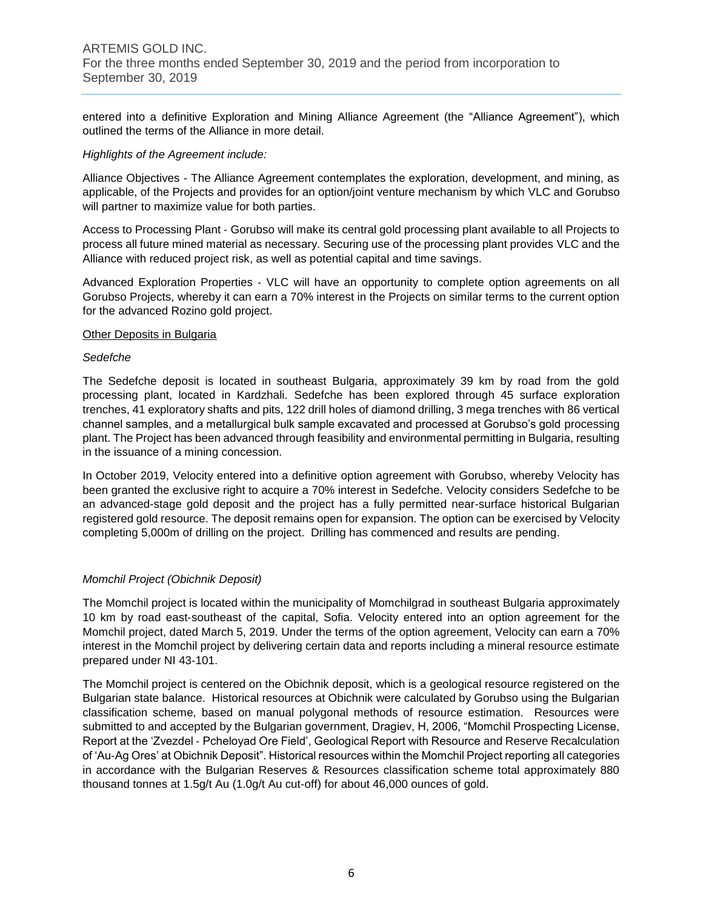entered into a definitive Exploration and Mining Alliance Agreement (the "Alliance Agreement"), which outlined the terms of the Alliance in more detail.

# *Highlights of the Agreement include:*

Alliance Objectives - The Alliance Agreement contemplates the exploration, development, and mining, as applicable, of the Projects and provides for an option/joint venture mechanism by which VLC and Gorubso will partner to maximize value for both parties.

Access to Processing Plant ‐ Gorubso will make its central gold processing plant available to all Projects to process all future mined material as necessary. Securing use of the processing plant provides VLC and the Alliance with reduced project risk, as well as potential capital and time savings.

Advanced Exploration Properties ‐ VLC will have an opportunity to complete option agreements on all Gorubso Projects, whereby it can earn a 70% interest in the Projects on similar terms to the current option for the advanced Rozino gold project.

#### **Other Deposits in Bulgaria**

# *Sedefche*

The Sedefche deposit is located in southeast Bulgaria, approximately 39 km by road from the gold processing plant, located in Kardzhali. Sedefche has been explored through 45 surface exploration trenches, 41 exploratory shafts and pits, 122 drill holes of diamond drilling, 3 mega trenches with 86 vertical channel samples, and a metallurgical bulk sample excavated and processed at Gorubso's gold processing plant. The Project has been advanced through feasibility and environmental permitting in Bulgaria, resulting in the issuance of a mining concession.

In October 2019, Velocity entered into a definitive option agreement with Gorubso, whereby Velocity has been granted the exclusive right to acquire a 70% interest in Sedefche. Velocity considers Sedefche to be an advanced-stage gold deposit and the project has a fully permitted near-surface historical Bulgarian registered gold resource. The deposit remains open for expansion. The option can be exercised by Velocity completing 5,000m of drilling on the project. Drilling has commenced and results are pending.

#### *Momchil Project (Obichnik Deposit)*

The Momchil project is located within the municipality of Momchilgrad in southeast Bulgaria approximately 10 km by road east‐southeast of the capital, Sofia. Velocity entered into an option agreement for the Momchil project, dated March 5, 2019. Under the terms of the option agreement, Velocity can earn a 70% interest in the Momchil project by delivering certain data and reports including a mineral resource estimate prepared under NI 43‐101.

The Momchil project is centered on the Obichnik deposit, which is a geological resource registered on the Bulgarian state balance. Historical resources at Obichnik were calculated by Gorubso using the Bulgarian classification scheme, based on manual polygonal methods of resource estimation. Resources were submitted to and accepted by the Bulgarian government, Dragiev, H, 2006, "Momchil Prospecting License, Report at the 'Zvezdel ‐ Pcheloyad Ore Field', Geological Report with Resource and Reserve Recalculation of 'Au‐Ag Ores' at Obichnik Deposit". Historical resources within the Momchil Project reporting all categories in accordance with the Bulgarian Reserves & Resources classification scheme total approximately 880 thousand tonnes at 1.5g/t Au (1.0g/t Au cut‐off) for about 46,000 ounces of gold.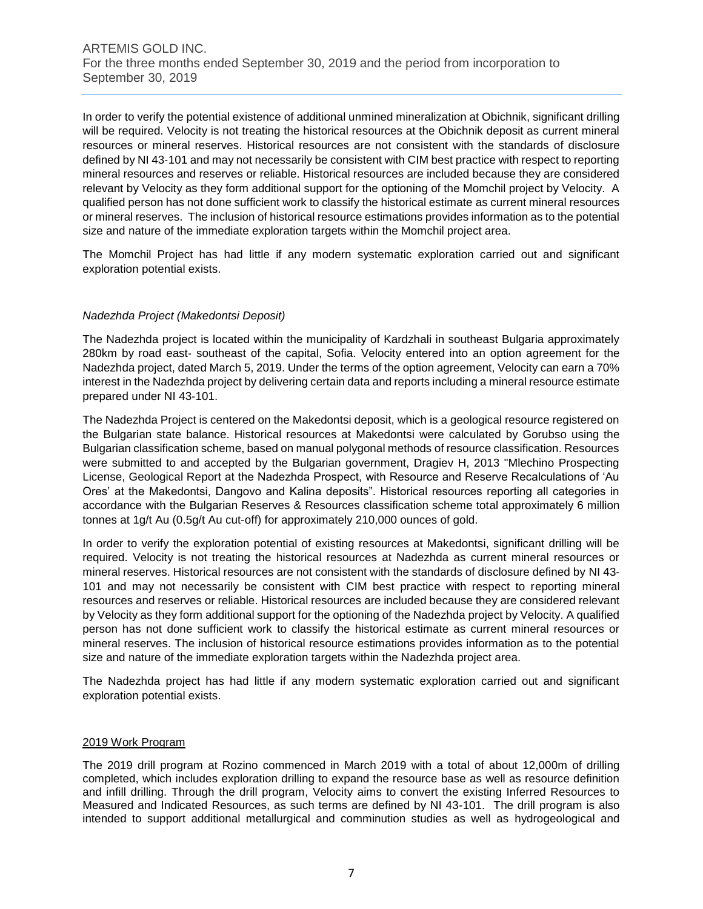In order to verify the potential existence of additional unmined mineralization at Obichnik, significant drilling will be required. Velocity is not treating the historical resources at the Obichnik deposit as current mineral resources or mineral reserves. Historical resources are not consistent with the standards of disclosure defined by NI 43-101 and may not necessarily be consistent with CIM best practice with respect to reporting mineral resources and reserves or reliable. Historical resources are included because they are considered relevant by Velocity as they form additional support for the optioning of the Momchil project by Velocity. A qualified person has not done sufficient work to classify the historical estimate as current mineral resources or mineral reserves. The inclusion of historical resource estimations provides information as to the potential size and nature of the immediate exploration targets within the Momchil project area.

The Momchil Project has had little if any modern systematic exploration carried out and significant exploration potential exists.

# *Nadezhda Project (Makedontsi Deposit)*

The Nadezhda project is located within the municipality of Kardzhali in southeast Bulgaria approximately 280km by road east- southeast of the capital, Sofia. Velocity entered into an option agreement for the Nadezhda project, dated March 5, 2019. Under the terms of the option agreement, Velocity can earn a 70% interest in the Nadezhda project by delivering certain data and reports including a mineral resource estimate prepared under NI 43‐101.

The Nadezhda Project is centered on the Makedontsi deposit, which is a geological resource registered on the Bulgarian state balance. Historical resources at Makedontsi were calculated by Gorubso using the Bulgarian classification scheme, based on manual polygonal methods of resource classification. Resources were submitted to and accepted by the Bulgarian government, Dragiev H, 2013 "Mlechino Prospecting License, Geological Report at the Nadezhda Prospect, with Resource and Reserve Recalculations of 'Au Ores' at the Makedontsi, Dangovo and Kalina deposits". Historical resources reporting all categories in accordance with the Bulgarian Reserves & Resources classification scheme total approximately 6 million tonnes at 1g/t Au (0.5g/t Au cut-off) for approximately 210,000 ounces of gold.

In order to verify the exploration potential of existing resources at Makedontsi, significant drilling will be required. Velocity is not treating the historical resources at Nadezhda as current mineral resources or mineral reserves. Historical resources are not consistent with the standards of disclosure defined by NI 43‐ 101 and may not necessarily be consistent with CIM best practice with respect to reporting mineral resources and reserves or reliable. Historical resources are included because they are considered relevant by Velocity as they form additional support for the optioning of the Nadezhda project by Velocity. A qualified person has not done sufficient work to classify the historical estimate as current mineral resources or mineral reserves. The inclusion of historical resource estimations provides information as to the potential size and nature of the immediate exploration targets within the Nadezhda project area.

The Nadezhda project has had little if any modern systematic exploration carried out and significant exploration potential exists.

#### 2019 Work Program

The 2019 drill program at Rozino commenced in March 2019 with a total of about 12,000m of drilling completed, which includes exploration drilling to expand the resource base as well as resource definition and infill drilling. Through the drill program, Velocity aims to convert the existing Inferred Resources to Measured and Indicated Resources, as such terms are defined by NI 43-101. The drill program is also intended to support additional metallurgical and comminution studies as well as hydrogeological and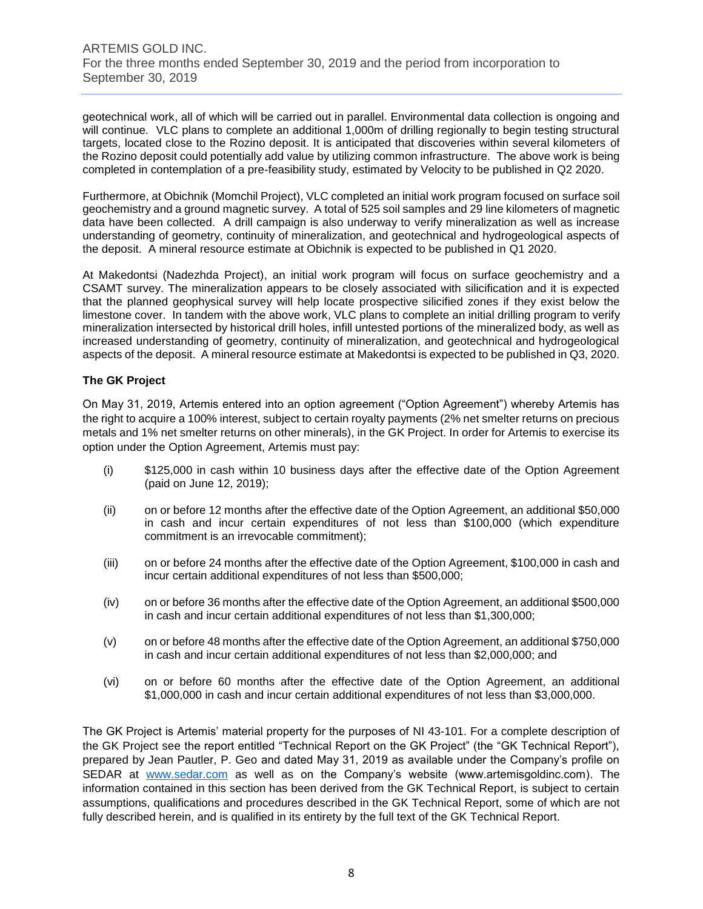geotechnical work, all of which will be carried out in parallel. Environmental data collection is ongoing and will continue. VLC plans to complete an additional 1,000m of drilling regionally to begin testing structural targets, located close to the Rozino deposit. It is anticipated that discoveries within several kilometers of the Rozino deposit could potentially add value by utilizing common infrastructure. The above work is being completed in contemplation of a pre-feasibility study, estimated by Velocity to be published in Q2 2020.

Furthermore, at Obichnik (Momchil Project), VLC completed an initial work program focused on surface soil geochemistry and a ground magnetic survey. A total of 525 soil samples and 29 line kilometers of magnetic data have been collected. A drill campaign is also underway to verify mineralization as well as increase understanding of geometry, continuity of mineralization, and geotechnical and hydrogeological aspects of the deposit. A mineral resource estimate at Obichnik is expected to be published in Q1 2020.

At Makedontsi (Nadezhda Project), an initial work program will focus on surface geochemistry and a CSAMT survey. The mineralization appears to be closely associated with silicification and it is expected that the planned geophysical survey will help locate prospective silicified zones if they exist below the limestone cover. In tandem with the above work, VLC plans to complete an initial drilling program to verify mineralization intersected by historical drill holes, infill untested portions of the mineralized body, as well as increased understanding of geometry, continuity of mineralization, and geotechnical and hydrogeological aspects of the deposit. A mineral resource estimate at Makedontsi is expected to be published in Q3, 2020.

# **The GK Project**

On May 31, 2019, Artemis entered into an option agreement ("Option Agreement") whereby Artemis has the right to acquire a 100% interest, subject to certain royalty payments (2% net smelter returns on precious metals and 1% net smelter returns on other minerals), in the GK Project. In order for Artemis to exercise its option under the Option Agreement, Artemis must pay:

- (i) \$125,000 in cash within 10 business days after the effective date of the Option Agreement (paid on June 12, 2019);
- (ii) on or before 12 months after the effective date of the Option Agreement, an additional \$50,000 in cash and incur certain expenditures of not less than \$100,000 (which expenditure commitment is an irrevocable commitment);
- (iii) on or before 24 months after the effective date of the Option Agreement, \$100,000 in cash and incur certain additional expenditures of not less than \$500,000;
- (iv) on or before 36 months after the effective date of the Option Agreement, an additional \$500,000 in cash and incur certain additional expenditures of not less than \$1,300,000;
- (v) on or before 48 months after the effective date of the Option Agreement, an additional \$750,000 in cash and incur certain additional expenditures of not less than \$2,000,000; and
- (vi) on or before 60 months after the effective date of the Option Agreement, an additional \$1,000,000 in cash and incur certain additional expenditures of not less than \$3,000,000.

The GK Project is Artemis' material property for the purposes of NI 43-101. For a complete description of the GK Project see the report entitled "Technical Report on the GK Project" (the "GK Technical Report"), prepared by Jean Pautler, P. Geo and dated May 31, 2019 as available under the Company's profile on SEDAR at [www.sedar.com](http://www.sedar.com/) as well as on the Company's website (www.artemisgoldinc.com). The information contained in this section has been derived from the GK Technical Report, is subject to certain assumptions, qualifications and procedures described in the GK Technical Report, some of which are not fully described herein, and is qualified in its entirety by the full text of the GK Technical Report.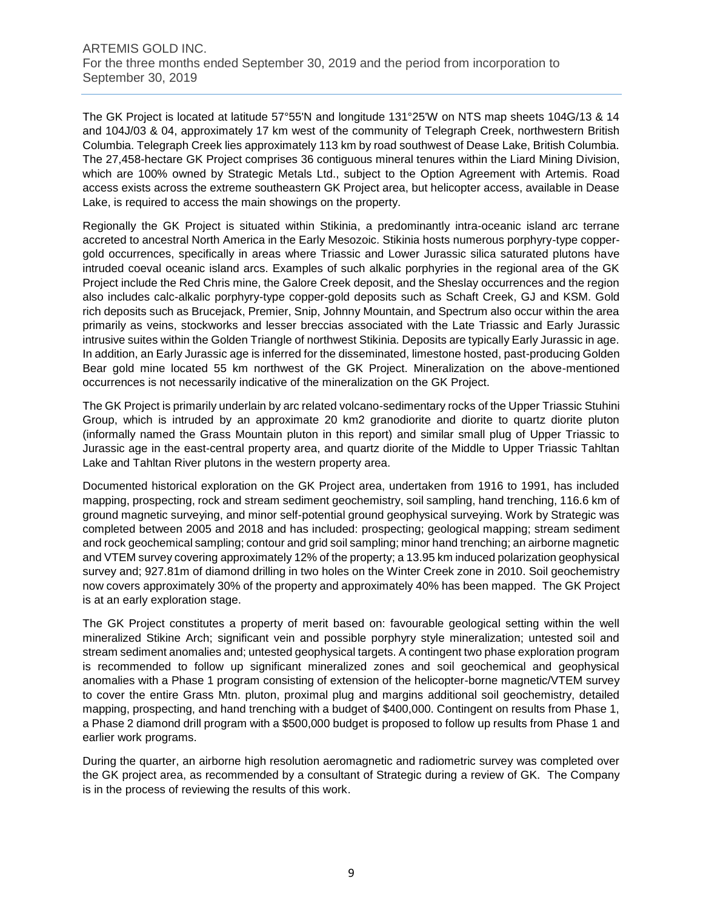The GK Project is located at latitude 57°55'N and longitude 131°25'W on NTS map sheets 104G/13 & 14 and 104J/03 & 04, approximately 17 km west of the community of Telegraph Creek, northwestern British Columbia. Telegraph Creek lies approximately 113 km by road southwest of Dease Lake, British Columbia. The 27,458-hectare GK Project comprises 36 contiguous mineral tenures within the Liard Mining Division, which are 100% owned by Strategic Metals Ltd., subject to the Option Agreement with Artemis. Road access exists across the extreme southeastern GK Project area, but helicopter access, available in Dease Lake, is required to access the main showings on the property.

Regionally the GK Project is situated within Stikinia, a predominantly intra-oceanic island arc terrane accreted to ancestral North America in the Early Mesozoic. Stikinia hosts numerous porphyry-type coppergold occurrences, specifically in areas where Triassic and Lower Jurassic silica saturated plutons have intruded coeval oceanic island arcs. Examples of such alkalic porphyries in the regional area of the GK Project include the Red Chris mine, the Galore Creek deposit, and the Sheslay occurrences and the region also includes calc-alkalic porphyry-type copper-gold deposits such as Schaft Creek, GJ and KSM. Gold rich deposits such as Brucejack, Premier, Snip, Johnny Mountain, and Spectrum also occur within the area primarily as veins, stockworks and lesser breccias associated with the Late Triassic and Early Jurassic intrusive suites within the Golden Triangle of northwest Stikinia. Deposits are typically Early Jurassic in age. In addition, an Early Jurassic age is inferred for the disseminated, limestone hosted, past-producing Golden Bear gold mine located 55 km northwest of the GK Project. Mineralization on the above-mentioned occurrences is not necessarily indicative of the mineralization on the GK Project.

The GK Project is primarily underlain by arc related volcano-sedimentary rocks of the Upper Triassic Stuhini Group, which is intruded by an approximate 20 km2 granodiorite and diorite to quartz diorite pluton (informally named the Grass Mountain pluton in this report) and similar small plug of Upper Triassic to Jurassic age in the east-central property area, and quartz diorite of the Middle to Upper Triassic Tahltan Lake and Tahltan River plutons in the western property area.

Documented historical exploration on the GK Project area, undertaken from 1916 to 1991, has included mapping, prospecting, rock and stream sediment geochemistry, soil sampling, hand trenching, 116.6 km of ground magnetic surveying, and minor self-potential ground geophysical surveying. Work by Strategic was completed between 2005 and 2018 and has included: prospecting; geological mapping; stream sediment and rock geochemical sampling; contour and grid soil sampling; minor hand trenching; an airborne magnetic and VTEM survey covering approximately 12% of the property; a 13.95 km induced polarization geophysical survey and; 927.81m of diamond drilling in two holes on the Winter Creek zone in 2010. Soil geochemistry now covers approximately 30% of the property and approximately 40% has been mapped. The GK Project is at an early exploration stage.

The GK Project constitutes a property of merit based on: favourable geological setting within the well mineralized Stikine Arch; significant vein and possible porphyry style mineralization; untested soil and stream sediment anomalies and; untested geophysical targets. A contingent two phase exploration program is recommended to follow up significant mineralized zones and soil geochemical and geophysical anomalies with a Phase 1 program consisting of extension of the helicopter-borne magnetic/VTEM survey to cover the entire Grass Mtn. pluton, proximal plug and margins additional soil geochemistry, detailed mapping, prospecting, and hand trenching with a budget of \$400,000. Contingent on results from Phase 1, a Phase 2 diamond drill program with a \$500,000 budget is proposed to follow up results from Phase 1 and earlier work programs.

During the quarter, an airborne high resolution aeromagnetic and radiometric survey was completed over the GK project area, as recommended by a consultant of Strategic during a review of GK. The Company is in the process of reviewing the results of this work.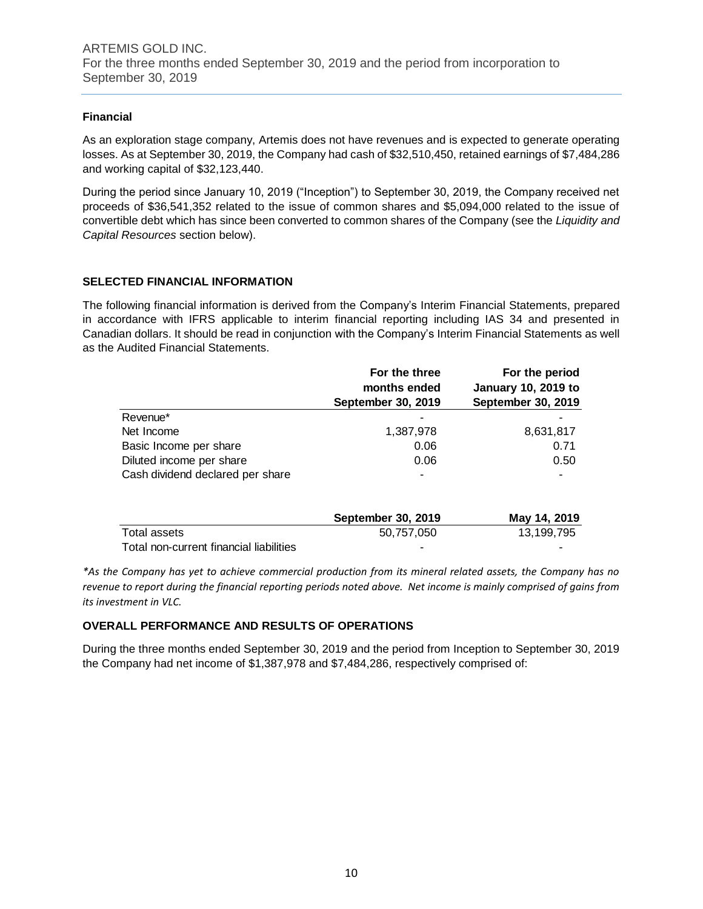# **Financial**

As an exploration stage company, Artemis does not have revenues and is expected to generate operating losses. As at September 30, 2019, the Company had cash of \$32,510,450, retained earnings of \$7,484,286 and working capital of \$32,123,440.

During the period since January 10, 2019 ("Inception") to September 30, 2019, the Company received net proceeds of \$36,541,352 related to the issue of common shares and \$5,094,000 related to the issue of convertible debt which has since been converted to common shares of the Company (see the *Liquidity and Capital Resources* section below).

# **SELECTED FINANCIAL INFORMATION**

The following financial information is derived from the Company's Interim Financial Statements, prepared in accordance with IFRS applicable to interim financial reporting including IAS 34 and presented in Canadian dollars. It should be read in conjunction with the Company's Interim Financial Statements as well as the Audited Financial Statements.

|                                  | For the three<br>months ended | For the period<br><b>January 10, 2019 to</b> |  |  |  |
|----------------------------------|-------------------------------|----------------------------------------------|--|--|--|
|                                  | September 30, 2019            | September 30, 2019                           |  |  |  |
| Revenue*                         |                               |                                              |  |  |  |
| Net Income                       | 1,387,978                     | 8,631,817                                    |  |  |  |
| Basic Income per share           | 0.06                          | 0.71                                         |  |  |  |
| Diluted income per share         | 0.06                          | 0.50                                         |  |  |  |
| Cash dividend declared per share | $\overline{\phantom{a}}$      |                                              |  |  |  |

|                                         | <b>September 30, 2019</b> | May 14, 2019 |  |  |
|-----------------------------------------|---------------------------|--------------|--|--|
| Total assets                            | 50.757.050                | 13.199.795   |  |  |
| Total non-current financial liabilities | -                         | -            |  |  |

*\*As the Company has yet to achieve commercial production from its mineral related assets, the Company has no revenue to report during the financial reporting periods noted above. Net income is mainly comprised of gains from its investment in VLC.*

# **OVERALL PERFORMANCE AND RESULTS OF OPERATIONS**

During the three months ended September 30, 2019 and the period from Inception to September 30, 2019 the Company had net income of \$1,387,978 and \$7,484,286, respectively comprised of: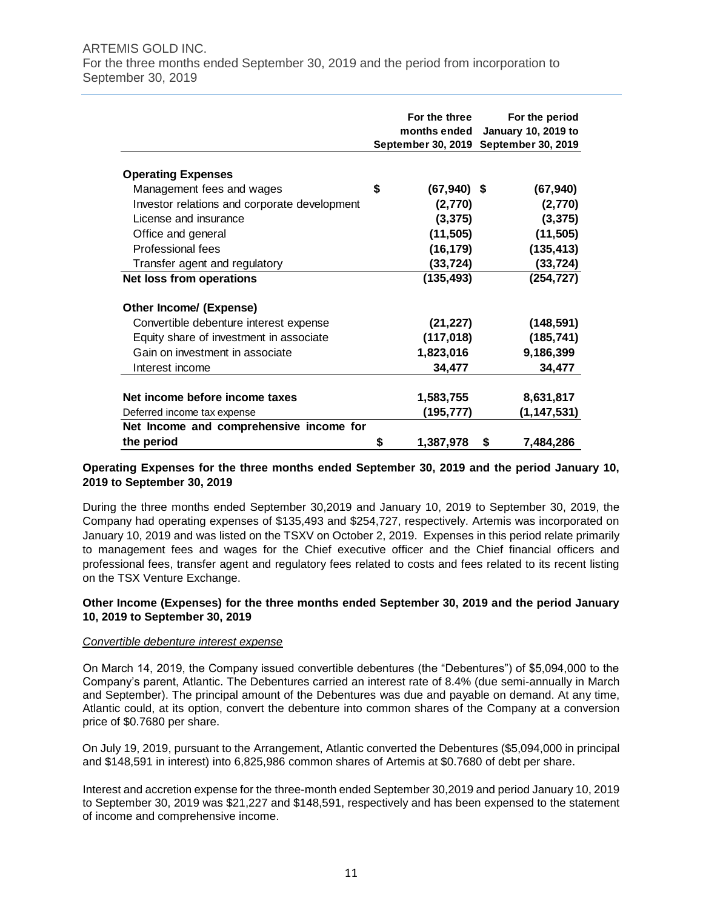#### ARTEMIS GOLD INC. For the three months ended September 30, 2019 and the period from incorporation to September 30, 2019

|                                              | For the three<br>months ended | For the period<br><b>January 10, 2019 to</b><br>September 30, 2019 September 30, 2019 |
|----------------------------------------------|-------------------------------|---------------------------------------------------------------------------------------|
| <b>Operating Expenses</b>                    |                               |                                                                                       |
| Management fees and wages                    | \$<br>$(67,940)$ \$           | (67, 940)                                                                             |
| Investor relations and corporate development | (2,770)                       | (2,770)                                                                               |
| License and insurance                        | (3, 375)                      | (3, 375)                                                                              |
| Office and general                           | (11, 505)                     | (11, 505)                                                                             |
| Professional fees                            | (16, 179)                     | (135, 413)                                                                            |
| Transfer agent and regulatory                | (33,724)                      | (33,724)                                                                              |
| Net loss from operations                     | (135, 493)                    | (254, 727)                                                                            |
| Other Income/ (Expense)                      |                               |                                                                                       |
| Convertible debenture interest expense       | (21, 227)                     | (148, 591)                                                                            |
| Equity share of investment in associate      | (117, 018)                    | (185, 741)                                                                            |
| Gain on investment in associate              | 1,823,016                     | 9,186,399                                                                             |
| Interest income                              | 34,477                        | 34,477                                                                                |
|                                              |                               |                                                                                       |
| Net income before income taxes               | 1,583,755                     | 8,631,817                                                                             |
| Deferred income tax expense                  | (195,777)                     | (1, 147, 531)                                                                         |
| Net Income and comprehensive income for      |                               |                                                                                       |
| the period                                   | \$<br>1,387,978               | 7,484,286<br>S                                                                        |

# **Operating Expenses for the three months ended September 30, 2019 and the period January 10, 2019 to September 30, 2019**

During the three months ended September 30,2019 and January 10, 2019 to September 30, 2019, the Company had operating expenses of \$135,493 and \$254,727, respectively. Artemis was incorporated on January 10, 2019 and was listed on the TSXV on October 2, 2019. Expenses in this period relate primarily to management fees and wages for the Chief executive officer and the Chief financial officers and professional fees, transfer agent and regulatory fees related to costs and fees related to its recent listing on the TSX Venture Exchange.

# **Other Income (Expenses) for the three months ended September 30, 2019 and the period January 10, 2019 to September 30, 2019**

#### *Convertible debenture interest expense*

On March 14, 2019, the Company issued convertible debentures (the "Debentures") of \$5,094,000 to the Company's parent, Atlantic. The Debentures carried an interest rate of 8.4% (due semi-annually in March and September). The principal amount of the Debentures was due and payable on demand. At any time, Atlantic could, at its option, convert the debenture into common shares of the Company at a conversion price of \$0.7680 per share.

On July 19, 2019, pursuant to the Arrangement, Atlantic converted the Debentures (\$5,094,000 in principal and \$148,591 in interest) into 6,825,986 common shares of Artemis at \$0.7680 of debt per share.

Interest and accretion expense for the three-month ended September 30,2019 and period January 10, 2019 to September 30, 2019 was \$21,227 and \$148,591, respectively and has been expensed to the statement of income and comprehensive income.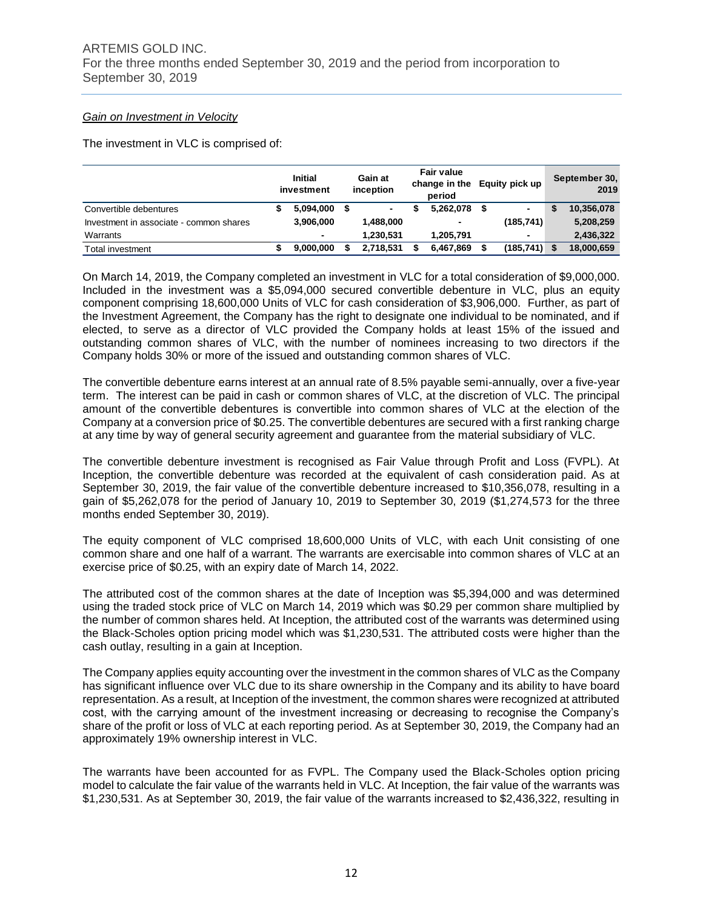#### *Gain on Investment in Velocity*

The investment in VLC is comprised of:

|                                         | <b>Initial</b><br>investment | Gain at<br>inception | <b>Fair value</b><br>change in the<br>period | Equity pick up           | September 30.<br>2019 |
|-----------------------------------------|------------------------------|----------------------|----------------------------------------------|--------------------------|-----------------------|
| Convertible debentures                  | 5.094.000                    |                      | 5,262,078                                    |                          | 10,356,078            |
| Investment in associate - common shares | 3.906.000                    | 1,488,000            | ۰                                            | (185, 741)               | 5,208,259             |
| Warrants                                | $\blacksquare$               | 1.230.531            | 1,205,791                                    | $\overline{\phantom{0}}$ | 2,436,322             |
| <b>Total investment</b>                 | 9.000.000                    | 2.718.531            | 6,467,869                                    | $(185, 741)$ \$          | 18,000,659            |

On March 14, 2019, the Company completed an investment in VLC for a total consideration of \$9,000,000. Included in the investment was a \$5,094,000 secured convertible debenture in VLC, plus an equity component comprising 18,600,000 Units of VLC for cash consideration of \$3,906,000. Further, as part of the Investment Agreement, the Company has the right to designate one individual to be nominated, and if elected, to serve as a director of VLC provided the Company holds at least 15% of the issued and outstanding common shares of VLC, with the number of nominees increasing to two directors if the Company holds 30% or more of the issued and outstanding common shares of VLC.

The convertible debenture earns interest at an annual rate of 8.5% payable semi-annually, over a five-year term. The interest can be paid in cash or common shares of VLC, at the discretion of VLC. The principal amount of the convertible debentures is convertible into common shares of VLC at the election of the Company at a conversion price of \$0.25. The convertible debentures are secured with a first ranking charge at any time by way of general security agreement and guarantee from the material subsidiary of VLC.

The convertible debenture investment is recognised as Fair Value through Profit and Loss (FVPL). At Inception, the convertible debenture was recorded at the equivalent of cash consideration paid. As at September 30, 2019, the fair value of the convertible debenture increased to \$10,356,078, resulting in a gain of \$5,262,078 for the period of January 10, 2019 to September 30, 2019 (\$1,274,573 for the three months ended September 30, 2019).

The equity component of VLC comprised 18,600,000 Units of VLC, with each Unit consisting of one common share and one half of a warrant. The warrants are exercisable into common shares of VLC at an exercise price of \$0.25, with an expiry date of March 14, 2022.

The attributed cost of the common shares at the date of Inception was \$5,394,000 and was determined using the traded stock price of VLC on March 14, 2019 which was \$0.29 per common share multiplied by the number of common shares held. At Inception, the attributed cost of the warrants was determined using the Black-Scholes option pricing model which was \$1,230,531. The attributed costs were higher than the cash outlay, resulting in a gain at Inception.

The Company applies equity accounting over the investment in the common shares of VLC as the Company has significant influence over VLC due to its share ownership in the Company and its ability to have board representation. As a result, at Inception of the investment, the common shares were recognized at attributed cost, with the carrying amount of the investment increasing or decreasing to recognise the Company's share of the profit or loss of VLC at each reporting period. As at September 30, 2019, the Company had an approximately 19% ownership interest in VLC.

The warrants have been accounted for as FVPL. The Company used the Black-Scholes option pricing model to calculate the fair value of the warrants held in VLC. At Inception, the fair value of the warrants was \$1,230,531. As at September 30, 2019, the fair value of the warrants increased to \$2,436,322, resulting in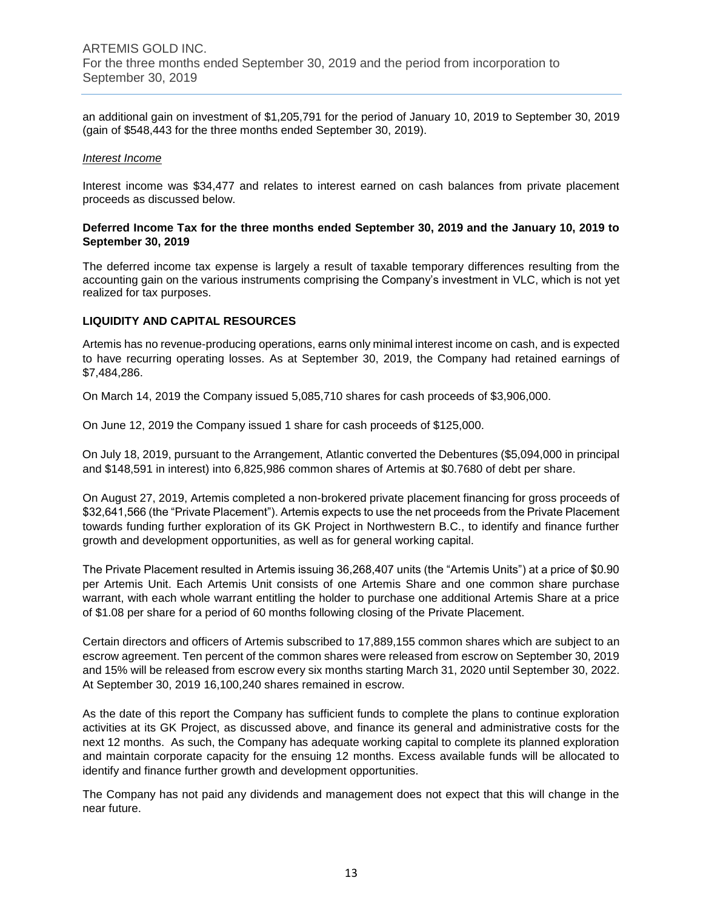an additional gain on investment of \$1,205,791 for the period of January 10, 2019 to September 30, 2019 (gain of \$548,443 for the three months ended September 30, 2019).

#### *Interest Income*

Interest income was \$34,477 and relates to interest earned on cash balances from private placement proceeds as discussed below.

#### **Deferred Income Tax for the three months ended September 30, 2019 and the January 10, 2019 to September 30, 2019**

The deferred income tax expense is largely a result of taxable temporary differences resulting from the accounting gain on the various instruments comprising the Company's investment in VLC, which is not yet realized for tax purposes.

# **LIQUIDITY AND CAPITAL RESOURCES**

Artemis has no revenue-producing operations, earns only minimal interest income on cash, and is expected to have recurring operating losses. As at September 30, 2019, the Company had retained earnings of \$7,484,286.

On March 14, 2019 the Company issued 5,085,710 shares for cash proceeds of \$3,906,000.

On June 12, 2019 the Company issued 1 share for cash proceeds of \$125,000.

On July 18, 2019, pursuant to the Arrangement, Atlantic converted the Debentures (\$5,094,000 in principal and \$148,591 in interest) into 6,825,986 common shares of Artemis at \$0.7680 of debt per share.

On August 27, 2019, Artemis completed a non-brokered private placement financing for gross proceeds of \$32,641,566 (the "Private Placement"). Artemis expects to use the net proceeds from the Private Placement towards funding further exploration of its GK Project in Northwestern B.C., to identify and finance further growth and development opportunities, as well as for general working capital.

The Private Placement resulted in Artemis issuing 36,268,407 units (the "Artemis Units") at a price of \$0.90 per Artemis Unit. Each Artemis Unit consists of one Artemis Share and one common share purchase warrant, with each whole warrant entitling the holder to purchase one additional Artemis Share at a price of \$1.08 per share for a period of 60 months following closing of the Private Placement.

Certain directors and officers of Artemis subscribed to 17,889,155 common shares which are subject to an escrow agreement. Ten percent of the common shares were released from escrow on September 30, 2019 and 15% will be released from escrow every six months starting March 31, 2020 until September 30, 2022. At September 30, 2019 16,100,240 shares remained in escrow.

As the date of this report the Company has sufficient funds to complete the plans to continue exploration activities at its GK Project, as discussed above, and finance its general and administrative costs for the next 12 months. As such, the Company has adequate working capital to complete its planned exploration and maintain corporate capacity for the ensuing 12 months. Excess available funds will be allocated to identify and finance further growth and development opportunities.

The Company has not paid any dividends and management does not expect that this will change in the near future.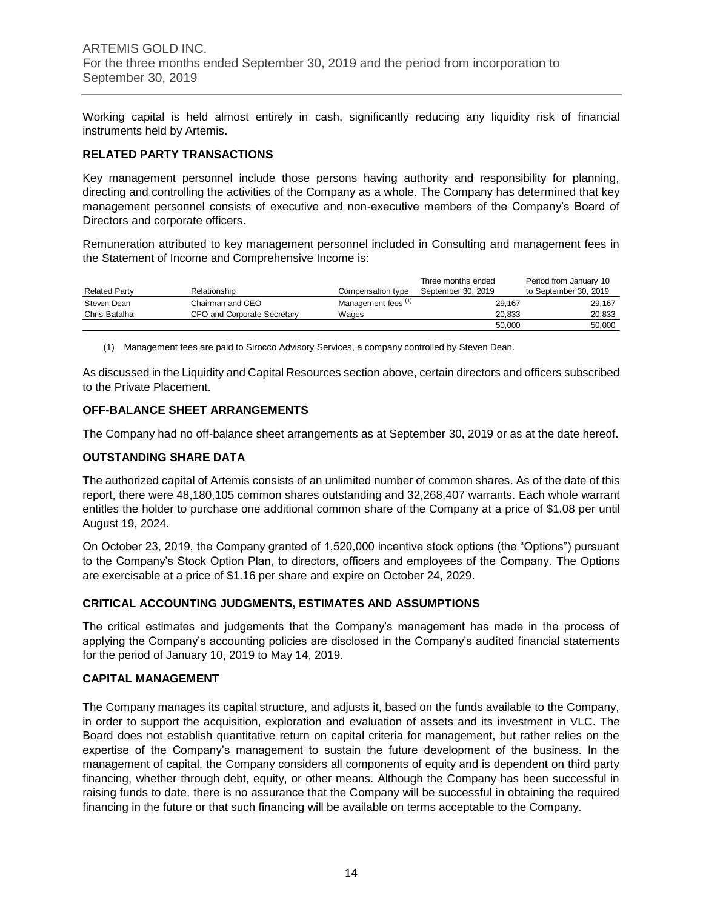Working capital is held almost entirely in cash, significantly reducing any liquidity risk of financial instruments held by Artemis.

# **RELATED PARTY TRANSACTIONS**

Key management personnel include those persons having authority and responsibility for planning, directing and controlling the activities of the Company as a whole. The Company has determined that key management personnel consists of executive and non-executive members of the Company's Board of Directors and corporate officers.

Remuneration attributed to key management personnel included in Consulting and management fees in the Statement of Income and Comprehensive Income is:

|                      |                             |                                | Three months ended | Period from January 10 |
|----------------------|-----------------------------|--------------------------------|--------------------|------------------------|
| <b>Related Party</b> | Relationship                | Compensation type              | September 30, 2019 | to September 30, 2019  |
| Steven Dean          | Chairman and CEO            | Management fees <sup>(1)</sup> | 29,167             | 29,167                 |
| Chris Batalha        | CFO and Corporate Secretary | Wages                          | 20.833             | 20,833                 |
|                      |                             |                                | 50.000             | 50,000                 |

(1) Management fees are paid to Sirocco Advisory Services, a company controlled by Steven Dean.

As discussed in the Liquidity and Capital Resources section above, certain directors and officers subscribed to the Private Placement.

# **OFF-BALANCE SHEET ARRANGEMENTS**

The Company had no off-balance sheet arrangements as at September 30, 2019 or as at the date hereof.

# **OUTSTANDING SHARE DATA**

The authorized capital of Artemis consists of an unlimited number of common shares. As of the date of this report, there were 48,180,105 common shares outstanding and 32,268,407 warrants. Each whole warrant entitles the holder to purchase one additional common share of the Company at a price of \$1.08 per until August 19, 2024.

On October 23, 2019, the Company granted of 1,520,000 incentive stock options (the "Options") pursuant to the Company's Stock Option Plan, to directors, officers and employees of the Company. The Options are exercisable at a price of \$1.16 per share and expire on October 24, 2029.

# **CRITICAL ACCOUNTING JUDGMENTS, ESTIMATES AND ASSUMPTIONS**

The critical estimates and judgements that the Company's management has made in the process of applying the Company's accounting policies are disclosed in the Company's audited financial statements for the period of January 10, 2019 to May 14, 2019.

#### **CAPITAL MANAGEMENT**

The Company manages its capital structure, and adjusts it, based on the funds available to the Company, in order to support the acquisition, exploration and evaluation of assets and its investment in VLC. The Board does not establish quantitative return on capital criteria for management, but rather relies on the expertise of the Company's management to sustain the future development of the business. In the management of capital, the Company considers all components of equity and is dependent on third party financing, whether through debt, equity, or other means. Although the Company has been successful in raising funds to date, there is no assurance that the Company will be successful in obtaining the required financing in the future or that such financing will be available on terms acceptable to the Company.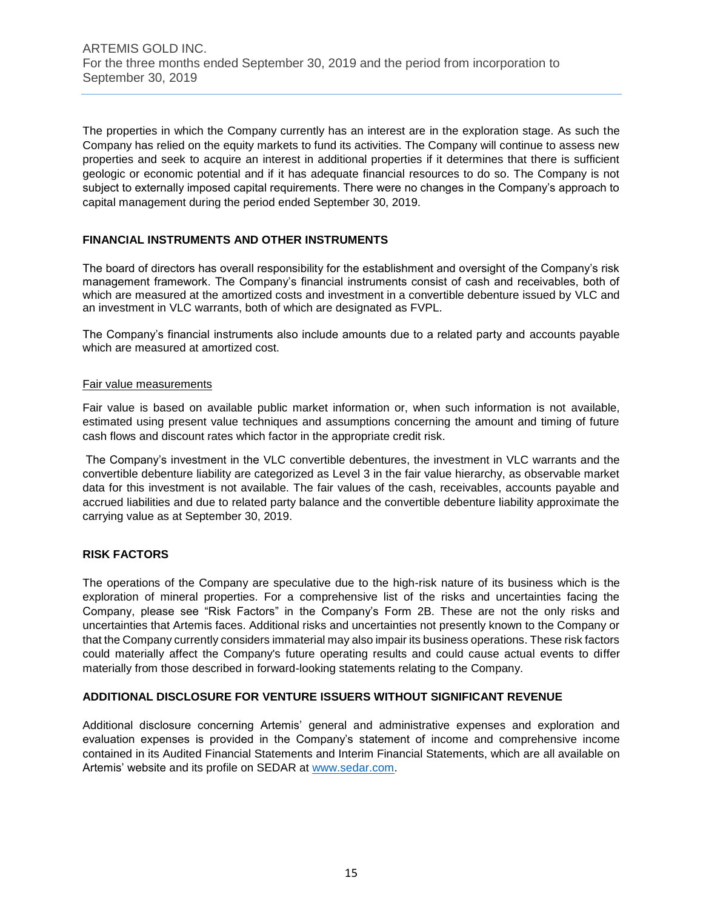The properties in which the Company currently has an interest are in the exploration stage. As such the Company has relied on the equity markets to fund its activities. The Company will continue to assess new properties and seek to acquire an interest in additional properties if it determines that there is sufficient geologic or economic potential and if it has adequate financial resources to do so. The Company is not subject to externally imposed capital requirements. There were no changes in the Company's approach to capital management during the period ended September 30, 2019.

# **FINANCIAL INSTRUMENTS AND OTHER INSTRUMENTS**

The board of directors has overall responsibility for the establishment and oversight of the Company's risk management framework. The Company's financial instruments consist of cash and receivables, both of which are measured at the amortized costs and investment in a convertible debenture issued by VLC and an investment in VLC warrants, both of which are designated as FVPL.

The Company's financial instruments also include amounts due to a related party and accounts payable which are measured at amortized cost.

# Fair value measurements

Fair value is based on available public market information or, when such information is not available, estimated using present value techniques and assumptions concerning the amount and timing of future cash flows and discount rates which factor in the appropriate credit risk.

The Company's investment in the VLC convertible debentures, the investment in VLC warrants and the convertible debenture liability are categorized as Level 3 in the fair value hierarchy, as observable market data for this investment is not available. The fair values of the cash, receivables, accounts payable and accrued liabilities and due to related party balance and the convertible debenture liability approximate the carrying value as at September 30, 2019.

# **RISK FACTORS**

The operations of the Company are speculative due to the high-risk nature of its business which is the exploration of mineral properties. For a comprehensive list of the risks and uncertainties facing the Company, please see "Risk Factors" in the Company's Form 2B. These are not the only risks and uncertainties that Artemis faces. Additional risks and uncertainties not presently known to the Company or that the Company currently considers immaterial may also impair its business operations. These risk factors could materially affect the Company's future operating results and could cause actual events to differ materially from those described in forward-looking statements relating to the Company.

# **ADDITIONAL DISCLOSURE FOR VENTURE ISSUERS WITHOUT SIGNIFICANT REVENUE**

Additional disclosure concerning Artemis' general and administrative expenses and exploration and evaluation expenses is provided in the Company's statement of income and comprehensive income contained in its Audited Financial Statements and Interim Financial Statements, which are all available on Artemis' website and its profile on SEDAR at [www.sedar.com.](http://www.sedar.com/)